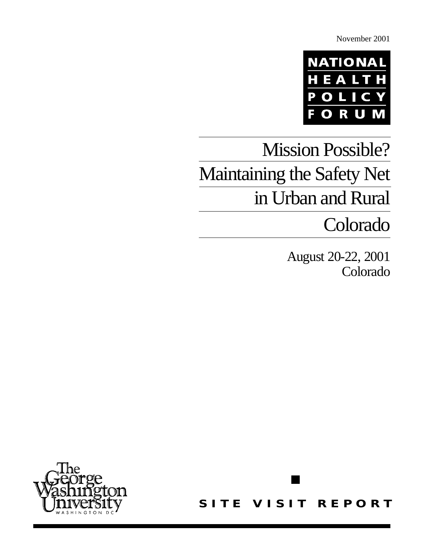November 2001



# Mission Possible? Maintaining the Safety Net in Urban and Rural

## Colorado

August 20-22, 2001 Colorado



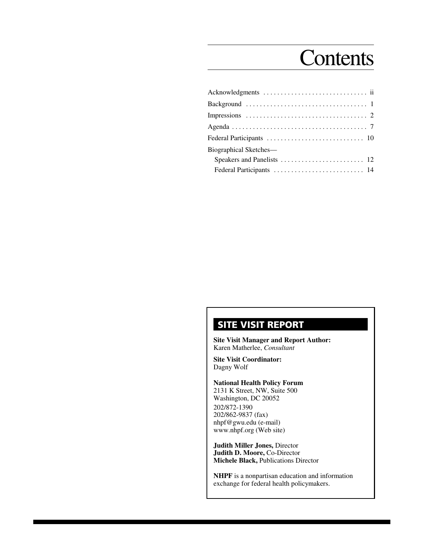## **Contents**

| Biographical Sketches— |  |
|------------------------|--|
|                        |  |
|                        |  |
|                        |  |

### **SITE VISIT REPORT**

**Site Visit Manager and Report Author:** Karen Matherlee, *Consultant*

**Site Visit Coordinator:** Dagny Wolf

**National Health Policy Forum** 2131 K Street, NW, Suite 500 Washington, DC 20052 202/872-1390 202/862-9837 (fax) nhpf@gwu.edu (e-mail) www.nhpf.org (Web site)

**Judith Miller Jones,** Director **Judith D. Moore,** Co-Director **Michele Black,** Publications Director

**NHPF** is a nonpartisan education and information exchange for federal health policymakers.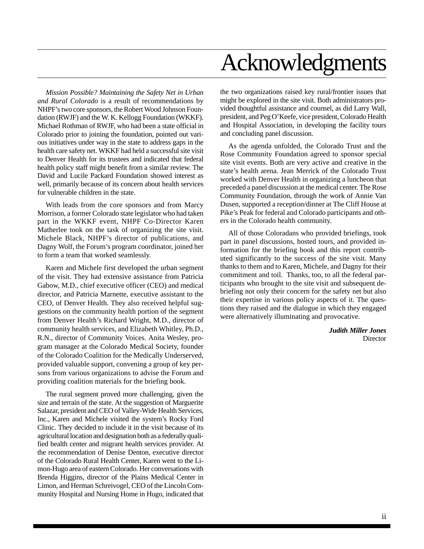# Acknowledgments

*Mission Possible? Maintaining the Safety Net in Urban and Rural Colorado* is a result of recommendations by NHPF's two core sponsors, the Robert Wood Johnson Foundation (RWJF) and the W. K. Kellogg Foundation (WKKF). Michael Rothman of RWJF, who had been a state official in Colorado prior to joining the foundation, pointed out various initiatives under way in the state to address gaps in the health care safety net. WKKF had held a successful site visit to Denver Health for its trustees and indicated that federal health policy staff might benefit from a similar review. The David and Lucile Packard Foundation showed interest as well, primarily because of its concern about health services for vulnerable children in the state.

With leads from the core sponsors and from Marcy Morrison, a former Colorado state legislator who had taken part in the WKKF event, NHPF Co-Director Karen Matherlee took on the task of organizing the site visit. Michele Black, NHPF's director of publications, and Dagny Wolf, the Forum's program coordinator, joined her to form a team that worked seamlessly.

Karen and Michele first developed the urban segment of the visit. They had extensive assistance from Patricia Gabow, M.D., chief executive officer (CEO) and medical director, and Patricia Marnette, executive assistant to the CEO, of Denver Health. They also received helpful suggestions on the community health portion of the segment from Denver Health's Richard Wright, M.D., director of community health services, and Elizabeth Whitley, Ph.D., R.N., director of Community Voices. Anita Wesley, program manager at the Colorado Medical Society, founder of the Colorado Coalition for the Medically Underserved, provided valuable support, convening a group of key persons from various organizations to advise the Forum and providing coalition materials for the briefing book.

The rural segment proved more challenging, given the size and terrain of the state. At the suggestion of Marguerite Salazar, president and CEO of Valley-Wide Health Services, Inc., Karen and Michele visited the system's Rocky Ford Clinic. They decided to include it in the visit because of its agricultural location and designation both as a federally qualified health center and migrant health services provider. At the recommendation of Denise Denton, executive director of the Colorado Rural Health Center, Karen went to the Limon-Hugo area of eastern Colorado. Her conversations with Brenda Higgins, director of the Plains Medical Center in Limon, and Herman Schreivogel, CEO of the Lincoln Community Hospital and Nursing Home in Hugo, indicated that

the two organizations raised key rural/frontier issues that might be explored in the site visit. Both administrators provided thoughtful assistance and counsel, as did Larry Wall, president, and Peg O'Keefe, vice president, Colorado Health and Hospital Association, in developing the facility tours and concluding panel discussion.

As the agenda unfolded, the Colorado Trust and the Rose Community Foundation agreed to sponsor special site visit events. Both are very active and creative in the state's health arena. Jean Merrick of the Colorado Trust worked with Denver Health in organizing a luncheon that preceded a panel discussion at the medical center. The Rose Community Foundation, through the work of Annie Van Dusen, supported a reception/dinner at The Cliff House at Pike's Peak for federal and Colorado participants and others in the Colorado health community.

All of those Coloradans who provided briefings, took part in panel discussions, hosted tours, and provided information for the briefing book and this report contributed significantly to the success of the site visit. Many thanks to them and to Karen, Michele, and Dagny for their commitment and toil. Thanks, too, to all the federal participants who brought to the site visit and subsequent debriefing not only their concern for the safety net but also their expertise in various policy aspects of it. The questions they raised and the dialogue in which they engaged were alternatively illuminating and provocative.

> *Judith Miller Jones* **Director**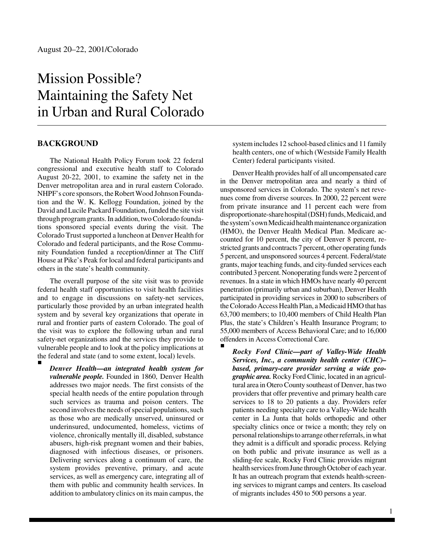## Mission Possible? Maintaining the Safety Net in Urban and Rural Colorado

#### **BACKGROUND**

The National Health Policy Forum took 22 federal congressional and executive health staff to Colorado August 20-22, 2001, to examine the safety net in the Denver metropolitan area and in rural eastern Colorado. NHPF's core sponsors, the Robert Wood Johnson Foundation and the W. K. Kellogg Foundation, joined by the David and Lucile Packard Foundation, funded the site visit through program grants. In addition, two Colorado foundations sponsored special events during the visit. The Colorado Trust supported a luncheon at Denver Health for Colorado and federal participants, and the Rose Community Foundation funded a reception/dinner at The Cliff House at Pike's Peak for local and federal participants and others in the state's health community.

The overall purpose of the site visit was to provide federal health staff opportunities to visit health facilities and to engage in discussions on safety-net services, particularly those provided by an urban integrated health system and by several key organizations that operate in rural and frontier parts of eastern Colorado. The goal of the visit was to explore the following urban and rural safety-net organizations and the services they provide to vulnerable people and to look at the policy implications at the federal and state (and to some extent, local) levels.

*Denver Health—an integrated health system for vulnerable people.* Founded in 1860, Denver Health addresses two major needs. The first consists of the special health needs of the entire population through such services as trauma and poison centers. The second involves the needs of special populations, such as those who are medically unserved, uninsured or underinsured, undocumented, homeless, victims of violence, chronically mentally ill, disabled, substance abusers, high-risk pregnant women and their babies, diagnosed with infectious diseases, or prisoners. Delivering services along a continuum of care, the system provides preventive, primary, and acute services, as well as emergency care, integrating all of them with public and community health services. In addition to ambulatory clinics on its main campus, the

system includes 12 school-based clinics and 11 family health centers, one of which (Westside Family Health Center) federal participants visited.

Denver Health provides half of all uncompensated care in the Denver metropolitan area and nearly a third of unsponsored services in Colorado. The system's net revenues come from diverse sources. In 2000, 22 percent were from private insurance and 11 percent each were from disproportionate-share hospital (DSH) funds, Medicaid, and the system's own Medicaid health maintenance organization (HMO), the Denver Health Medical Plan. Medicare accounted for 10 percent, the city of Denver 8 percent, restricted grants and contracts 7 percent, other operating funds 5 percent, and unsponsored sources 4 percent. Federal/state grants, major teaching funds, and city-funded services each contributed 3 percent. Nonoperating funds were 2 percent of revenues. In a state in which HMOs have nearly 40 percent penetration (primarily urban and suburban), Denver Health participated in providing services in 2000 to subscribers of the Colorado Access Health Plan, a Medicaid HMO that has 63,700 members; to 10,400 members of Child Health Plan Plus, the state's Children's Health Insurance Program; to 55,000 members of Access Behavioral Care; and to 16,000 offenders in Access Correctional Care.

*Rocky Ford Clinic—part of Valley-Wide Health Services, Inc., a community health center (CHC)– based, primary-care provider serving a wide geographic area.* Rocky Ford Clinic, located in an agricultural area in Otero County southeast of Denver, has two providers that offer preventive and primary health care services to 18 to 20 patients a day. Providers refer patients needing specialty care to a Valley-Wide health center in La Junta that holds orthopedic and other specialty clinics once or twice a month; they rely on personal relationships to arrange other referrals, in what they admit is a difficult and sporadic process. Relying on both public and private insurance as well as a sliding-fee scale, Rocky Ford Clinic provides migrant health services from June through October of each year. It has an outreach program that extends health-screening services to migrant camps and centers. Its caseload of migrants includes 450 to 500 persons a year.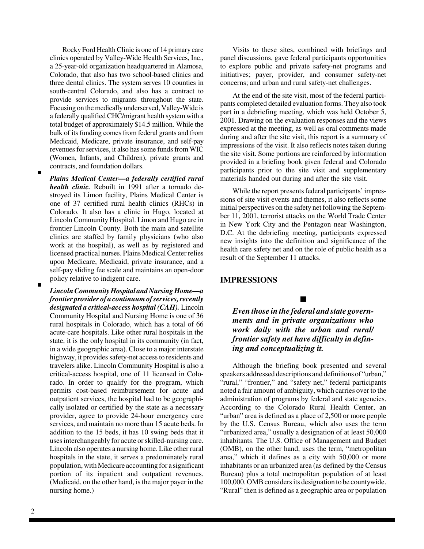Rocky Ford Health Clinic is one of 14 primary care clinics operated by Valley-Wide Health Services, Inc., a 25-year-old organization headquartered in Alamosa, Colorado, that also has two school-based clinics and three dental clinics. The system serves 10 counties in south-central Colorado, and also has a contract to provide services to migrants throughout the state. Focusing on the medically underserved, Valley-Wide is a federally qualified CHC/migrant health system with a total budget of approximately \$14.5 million. While the bulk of its funding comes from federal grants and from Medicaid, Medicare, private insurance, and self-pay revenues for services, it also has some funds from WIC (Women, Infants, and Children), private grants and contracts, and foundation dollars.

- *Plains Medical Center—a federally certified rural health clinic.* Rebuilt in 1991 after a tornado destroyed its Limon facility, Plains Medical Center is one of 37 certified rural health clinics (RHCs) in Colorado. It also has a clinic in Hugo, located at Lincoln Community Hospital. Limon and Hugo are in frontier Lincoln County. Both the main and satellite clinics are staffed by family physicians (who also work at the hospital), as well as by registered and licensed practical nurses. Plains Medical Center relies upon Medicare, Medicaid, private insurance, and a self-pay sliding fee scale and maintains an open-door policy relative to indigent care.
- *Lincoln Community Hospital and Nursing Home—a frontier provider of a continuum of services, recently designated a critical-access hospital (CAH).* Lincoln Community Hospital and Nursing Home is one of 36 rural hospitals in Colorado, which has a total of 66 acute-care hospitals. Like other rural hospitals in the state, it is the only hospital in its community (in fact, in a wide geographic area). Close to a major interstate highway, it provides safety-net access to residents and travelers alike. Lincoln Community Hospital is also a critical-access hospital, one of 11 licensed in Colorado. In order to qualify for the program, which permits cost-based reimbursement for acute and outpatient services, the hospital had to be geographically isolated or certified by the state as a necessary provider, agree to provide 24-hour emergency care services, and maintain no more than 15 acute beds. In addition to the 15 beds, it has 10 swing beds that it uses interchangeably for acute or skilled-nursing care. Lincoln also operates a nursing home. Like other rural hospitals in the state, it serves a predominately rural population, with Medicare accounting for a significant portion of its inpatient and outpatient revenues. (Medicaid, on the other hand, is the major payer in the nursing home.)

Visits to these sites, combined with briefings and panel discussions, gave federal participants opportunities to explore public and private safety-net programs and initiatives; payer, provider, and consumer safety-net concerns; and urban and rural safety-net challenges.

At the end of the site visit, most of the federal participants completed detailed evaluation forms. They also took part in a debriefing meeting, which was held October 5, 2001. Drawing on the evaluation responses and the views expressed at the meeting, as well as oral comments made during and after the site visit, this report is a summary of impressions of the visit. It also reflects notes taken during the site visit. Some portions are reinforced by information provided in a briefing book given federal and Colorado participants prior to the site visit and supplementary materials handed out during and after the site visit.

While the report presents federal participants' impressions of site visit events and themes, it also reflects some initial perspectives on the safety net following the September 11, 2001, terrorist attacks on the World Trade Center in New York City and the Pentagon near Washington, D.C. At the debriefing meeting, participants expressed new insights into the definition and significance of the health care safety net and on the role of public health as a result of the September 11 attacks.

#### **IMPRESSIONS**

*Even those in the federal and state governments and in private organizations who work daily with the urban and rural/ frontier safety net have difficulty in defining and conceptualizing it.*

 $\blacksquare$ 

Although the briefing book presented and several speakers addressed descriptions and definitions of "urban," "rural," "frontier," and "safety net," federal participants noted a fair amount of ambiguity, which carries over to the administration of programs by federal and state agencies. According to the Colorado Rural Health Center, an "urban" area is defined as a place of 2,500 or more people by the U.S. Census Bureau, which also uses the term "urbanized area," usually a designation of at least 50,000 inhabitants. The U.S. Office of Management and Budget (OMB), on the other hand, uses the term, "metropolitan area," which it defines as a city with 50,000 or more inhabitants or an urbanized area (as defined by the Census Bureau) plus a total metropolitan population of at least 100,000. OMB considers its designation to be countywide. "Rural" then is defined as a geographic area or population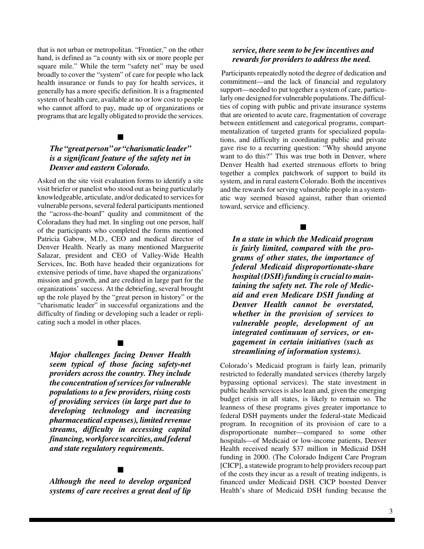that is not urban or metropolitan. "Frontier," on the other hand, is defined as "a county with six or more people per square mile." While the term "safety net" may be used broadly to cover the "system" of care for people who lack health insurance or funds to pay for health services, it generally has a more specific definition. It is a fragmented system of health care, available at no or low cost to people who cannot afford to pay, made up of organizations or programs that are legally obligated to provide the services.

#### $\blacksquare$

#### *The "great person" or "charismatic leader" is a significant feature of the safety net in Denver and eastern Colorado.*

Asked on the site visit evaluation forms to identify a site visit briefer or panelist who stood out as being particularly knowledgeable, articulate, and/or dedicated to services for vulnerable persons, several federal participants mentioned the "across-the-board" quality and commitment of the Coloradans they had met. In singling out one person, half of the participants who completed the forms mentioned Patricia Gabow, M.D., CEO and medical director of Denver Health. Nearly as many mentioned Marguerite Salazar, president and CEO of Valley-Wide Health Services, Inc. Both have headed their organizations for extensive periods of time, have shaped the organizations' mission and growth, and are credited in large part for the organizations' success. At the debriefing, several brought up the role played by the "great person in history" or the "charismatic leader" in successful organizations and the difficulty of finding or developing such a leader or replicating such a model in other places.

#### $\blacksquare$

*Major challenges facing Denver Health seem typical of those facing safety-net providers across the country. They include the concentration of services for vulnerable populations to a few providers, rising costs of providing services (in large part due to developing technology and increasing pharmaceutical expenses), limited revenue streams, difficulty in accessing capital financing, workforce scarcities, and federal and state regulatory requirements.*

#### $\blacksquare$

*Although the need to develop organized systems of care receives a great deal of lip*

#### *service, there seem to be few incentives and rewards for providers to address the need.*

Participants repeatedly noted the degree of dedication and commitment—and the lack of financial and regulatory support—needed to put together a system of care, particularly one designed for vulnerable populations. The difficulties of coping with public and private insurance systems that are oriented to acute care, fragmentation of coverage between entitlement and categorical programs, compartmentalization of targeted grants for specialized populations, and difficulty in coordinating public and private gave rise to a recurring question: "Why should anyone want to do this?" This was true both in Denver, where Denver Health had exerted strenuous efforts to bring together a complex patchwork of support to build its system, and in rural eastern Colorado. Both the incentives and the rewards for serving vulnerable people in a systematic way seemed biased against, rather than oriented toward, service and efficiency.

#### $\blacksquare$

*In a state in which the Medicaid program is fairly limited, compared with the programs of other states, the importance of federal Medicaid disproportionate-share hospital (DSH) funding is crucial to maintaining the safety net. The role of Medicaid and even Medicare DSH funding at Denver Health cannot be overstated, whether in the provision of services to vulnerable people, development of an integrated continuum of services, or engagement in certain initiatives (such as streamlining of information systems).*

Colorado's Medicaid program is fairly lean, primarily restricted to federally mandated services (thereby largely bypassing optional services). The state investment in public health services is also lean and, given the emerging budget crisis in all states, is likely to remain so. The leanness of these programs gives greater importance to federal DSH payments under the federal-state Medicaid program. In recognition of its provision of care to a disproportionate number—compared to some other hospitals—of Medicaid or low-income patients, Denver Health received nearly \$37 million in Medicaid DSH funding in 2000. (The Colorado Indigent Care Program [CICP], a statewide program to help providers recoup part of the costs they incur as a result of treating indigents, is financed under Medicaid DSH. CICP boosted Denver Health's share of Medicaid DSH funding because the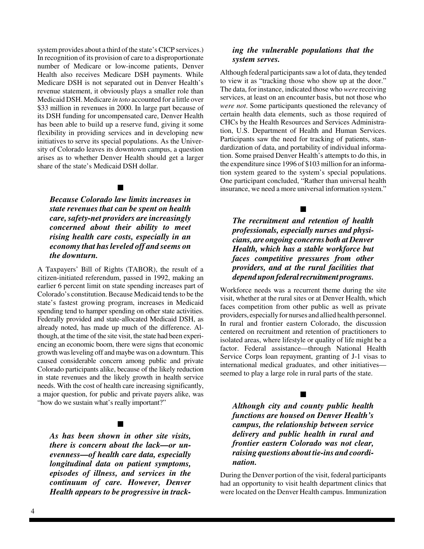system provides about a third of the state's CICP services.) In recognition of its provision of care to a disproportionate number of Medicare or low-income patients, Denver Health also receives Medicare DSH payments. While Medicare DSH is not separated out in Denver Health's revenue statement, it obviously plays a smaller role than Medicaid DSH. Medicare *in toto* accounted for a little over \$33 million in revenues in 2000. In large part because of its DSH funding for uncompensated care, Denver Health has been able to build up a reserve fund, giving it some flexibility in providing services and in developing new initiatives to serve its special populations. As the University of Colorado leaves its downtown campus, a question arises as to whether Denver Health should get a larger share of the state's Medicaid DSH dollar.

#### $\blacksquare$

*Because Colorado law limits increases in state revenues that can be spent on health care, safety-net providers are increasingly concerned about their ability to meet rising health care costs, especially in an economy that has leveled off and seems on the downturn.*

A Taxpayers' Bill of Rights (TABOR), the result of a citizen-initiated referendum, passed in 1992, making an earlier 6 percent limit on state spending increases part of Colorado's constitution. Because Medicaid tends to be the state's fastest growing program, increases in Medicaid spending tend to hamper spending on other state activities. Federally provided and state-allocated Medicaid DSH, as already noted, has made up much of the difference. Although, at the time of the site visit, the state had been experiencing an economic boom, there were signs that economic growth was leveling off and maybe was on a downturn. This caused considerable concern among public and private Colorado participants alike, because of the likely reduction in state revenues and the likely growth in health service needs. With the cost of health care increasing significantly, a major question, for public and private payers alike, was "how do we sustain what's really important?"

#### $\blacksquare$

*As has been shown in other site visits, there is concern about the lack—or unevenness—of health care data, especially longitudinal data on patient symptoms, episodes of illness, and services in the continuum of care. However, Denver Health appears to be progressive in track-*

#### *ing the vulnerable populations that the system serves.*

Although federal participants saw a lot of data, they tended to view it as "tracking those who show up at the door." The data, for instance, indicated those who *were* receiving services, at least on an encounter basis, but not those who *were not*. Some participants questioned the relevancy of certain health data elements, such as those required of CHCs by the Health Resources and Services Administration, U.S. Department of Health and Human Services. Participants saw the need for tracking of patients, standardization of data, and portability of individual information. Some praised Denver Health's attempts to do this, in the expenditure since 1996 of \$103 million for an information system geared to the system's special populations. One participant concluded, "Rather than universal health insurance, we need a more universal information system."

 $\blacksquare$ 

*The recruitment and retention of health professionals, especially nurses and physicians, are ongoing concerns both at Denver Health, which has a stable workforce but faces competitive pressures from other providers, and at the rural facilities that depend upon federal recruitment programs.*

Workforce needs was a recurrent theme during the site visit, whether at the rural sites or at Denver Health, which faces competition from other public as well as private providers, especially for nurses and allied health personnel. In rural and frontier eastern Colorado, the discussion centered on recruitment and retention of practitioners to isolated areas, where lifestyle or quality of life might be a factor. Federal assistance—through National Health Service Corps loan repayment, granting of J-1 visas to international medical graduates, and other initiatives seemed to play a large role in rural parts of the state.

 $\blacksquare$ *Although city and county public health functions are housed on Denver Health's campus, the relationship between service delivery and public health in rural and frontier eastern Colorado was not clear,*

During the Denver portion of the visit, federal participants had an opportunity to visit health department clinics that were located on the Denver Health campus. Immunization

*raising questions about tie-ins and coordi-*

*nation.*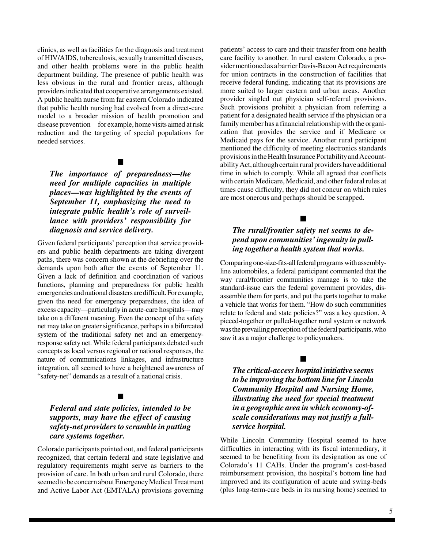clinics, as well as facilities for the diagnosis and treatment of HIV/AIDS, tuberculosis, sexually transmitted diseases, and other health problems were in the public health department building. The presence of public health was less obvious in the rural and frontier areas, although providers indicated that cooperative arrangements existed. A public health nurse from far eastern Colorado indicated that public health nursing had evolved from a direct-care model to a broader mission of health promotion and disease prevention—for example, home visits aimed at risk reduction and the targeting of special populations for needed services.

#### $\blacksquare$

*The importance of preparedness—the need for multiple capacities in multiple places—was highlighted by the events of September 11, emphasizing the need to integrate public health's role of surveillance with providers' responsibility for diagnosis and service delivery.*

Given federal participants' perception that service providers and public health departments are taking divergent paths, there was concern shown at the debriefing over the demands upon both after the events of September 11. Given a lack of definition and coordination of various functions, planning and preparedness for public health emergencies and national disasters are difficult. For example, given the need for emergency preparedness, the idea of excess capacity—particularly in acute-care hospitals—may take on a different meaning. Even the concept of the safety net may take on greater significance, perhaps in a bifurcated system of the traditional safety net and an emergencyresponse safety net. While federal participants debated such concepts as local versus regional or national responses, the nature of communications linkages, and infrastructure integration, all seemed to have a heightened awareness of "safety-net" demands as a result of a national crisis.

#### $\blacksquare$

#### *Federal and state policies, intended to be supports, may have the effect of causing safety-net providers to scramble in putting care systems together.*

Colorado participants pointed out, and federal participants recognized, that certain federal and state legislative and regulatory requirements might serve as barriers to the provision of care. In both urban and rural Colorado, there seemed to be concern about Emergency Medical Treatment and Active Labor Act (EMTALA) provisions governing

patients' access to care and their transfer from one health care facility to another. In rural eastern Colorado, a provider mentioned as a barrier Davis-Bacon Act requirements for union contracts in the construction of facilities that receive federal funding, indicating that its provisions are more suited to larger eastern and urban areas. Another provider singled out physician self-referral provisions. Such provisions prohibit a physician from referring a patient for a designated health service if the physician or a family member has a financial relationship with the organization that provides the service and if Medicare or Medicaid pays for the service. Another rural participant mentioned the difficulty of meeting electronics standards provisions in the Health Insurance Portability and Accountability Act, although certain rural providers have additional time in which to comply. While all agreed that conflicts with certain Medicare, Medicaid, and other federal rules at times cause difficulty, they did not concur on which rules are most onerous and perhaps should be scrapped.

#### $\blacksquare$

#### *The rural/frontier safety net seems to depend upon communities' ingenuity in pulling together a health system that works.*

Comparing one-size-fits-all federal programs with assemblyline automobiles, a federal participant commented that the way rural/frontier communities manage is to take the standard-issue cars the federal government provides, disassemble them for parts, and put the parts together to make a vehicle that works for them. "How do such communities relate to federal and state policies?" was a key question. A pieced-together or pulled-together rural system or network was the prevailing perception of the federal participants, who saw it as a major challenge to policymakers.

#### $\blacksquare$

*The critical-access hospital initiative seems to be improving the bottom line for Lincoln Community Hospital and Nursing Home, illustrating the need for special treatment in a geographic area in which economy-ofscale considerations may not justify a fullservice hospital.*

While Lincoln Community Hospital seemed to have difficulties in interacting with its fiscal intermediary, it seemed to be benefiting from its designation as one of Colorado's 11 CAHs. Under the program's cost-based reimbursement provision, the hospital's bottom line had improved and its configuration of acute and swing-beds (plus long-term-care beds in its nursing home) seemed to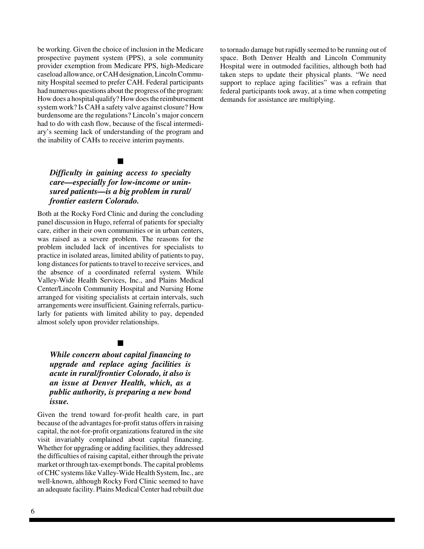be working. Given the choice of inclusion in the Medicare prospective payment system (PPS), a sole community provider exemption from Medicare PPS, high-Medicare caseload allowance, or CAH designation, Lincoln Community Hospital seemed to prefer CAH. Federal participants had numerous questions about the progress of the program: How does a hospital qualify? How does the reimbursement system work? Is CAH a safety valve against closure? How burdensome are the regulations? Lincoln's major concern had to do with cash flow, because of the fiscal intermediary's seeming lack of understanding of the program and the inability of CAHs to receive interim payments.

#### $\blacksquare$

#### *Difficulty in gaining access to specialty care—especially for low-income or uninsured patients—is a big problem in rural/ frontier eastern Colorado.*

Both at the Rocky Ford Clinic and during the concluding panel discussion in Hugo, referral of patients for specialty care, either in their own communities or in urban centers, was raised as a severe problem. The reasons for the problem included lack of incentives for specialists to practice in isolated areas, limited ability of patients to pay, long distances for patients to travel to receive services, and the absence of a coordinated referral system. While Valley-Wide Health Services, Inc., and Plains Medical Center/Lincoln Community Hospital and Nursing Home arranged for visiting specialists at certain intervals, such arrangements were insufficient. Gaining referrals, particularly for patients with limited ability to pay, depended almost solely upon provider relationships.

#### $\blacksquare$

*While concern about capital financing to upgrade and replace aging facilities is acute in rural/frontier Colorado, it also is an issue at Denver Health, which, as a public authority, is preparing a new bond issue.*

Given the trend toward for-profit health care, in part because of the advantages for-profit status offers in raising capital, the not-for-profit organizations featured in the site visit invariably complained about capital financing. Whether for upgrading or adding facilities, they addressed the difficulties of raising capital, either through the private market or through tax-exempt bonds. The capital problems of CHC systems like Valley-Wide Health System, Inc., are well-known, although Rocky Ford Clinic seemed to have an adequate facility. Plains Medical Center had rebuilt due

to tornado damage but rapidly seemed to be running out of space. Both Denver Health and Lincoln Community Hospital were in outmoded facilities, although both had taken steps to update their physical plants. "We need support to replace aging facilities" was a refrain that federal participants took away, at a time when competing demands for assistance are multiplying.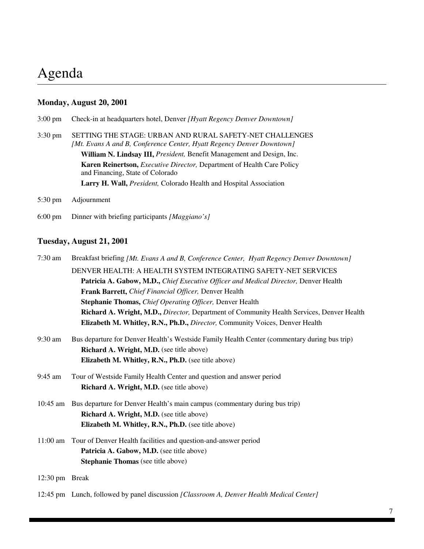## Agenda

#### **Monday, August 20, 2001**

|  | 3:00 pm Check-in at headquarters hotel, Denver [Hyatt Regency Denver Downtown] |  |  |  |
|--|--------------------------------------------------------------------------------|--|--|--|
|  |                                                                                |  |  |  |

- 3:30 pm SETTING THE STAGE: URBAN AND RURAL SAFETY-NET CHALLENGES *[Mt. Evans A and B, Conference Center, Hyatt Regency Denver Downtown]* **William N. Lindsay III,** *President,* Benefit Management and Design, Inc. **Karen Reinertson,** *Executive Director,* Department of Health Care Policy and Financing, State of Colorado **Larry H. Wall,** *President,* Colorado Health and Hospital Association
- 5:30 pm Adjournment
- 6:00 pm Dinner with briefing participants *[Maggiano's]*

#### **Tuesday, August 21, 2001**

| $7:30$ am      | Breakfast briefing [Mt. Evans A and B, Conference Center, Hyatt Regency Denver Downtown]     |
|----------------|----------------------------------------------------------------------------------------------|
|                | DENVER HEALTH: A HEALTH SYSTEM INTEGRATING SAFETY-NET SERVICES                               |
|                | Patricia A. Gabow, M.D., Chief Executive Officer and Medical Director, Denver Health         |
|                | Frank Barrett, Chief Financial Officer, Denver Health                                        |
|                | Stephanie Thomas, Chief Operating Officer, Denver Health                                     |
|                | Richard A. Wright, M.D., Director, Department of Community Health Services, Denver Health    |
|                | Elizabeth M. Whitley, R.N., Ph.D., Director, Community Voices, Denver Health                 |
| 9:30 am        | Bus departure for Denver Health's Westside Family Health Center (commentary during bus trip) |
|                | <b>Richard A. Wright, M.D.</b> (see title above)                                             |
|                | Elizabeth M. Whitley, R.N., Ph.D. (see title above)                                          |
| $9:45$ am      | Tour of Westside Family Health Center and question and answer period                         |
|                | <b>Richard A. Wright, M.D.</b> (see title above)                                             |
| $10:45$ am     | Bus departure for Denver Health's main campus (commentary during bus trip)                   |
|                | Richard A. Wright, M.D. (see title above)                                                    |
|                | Elizabeth M. Whitley, R.N., Ph.D. (see title above)                                          |
|                | 11:00 am Tour of Denver Health facilities and question-and-answer period                     |
|                | Patricia A. Gabow, M.D. (see title above)                                                    |
|                | <b>Stephanie Thomas</b> (see title above)                                                    |
| 12:30 pm Break |                                                                                              |

12:45 pm Lunch, followed by panel discussion *[Classroom A, Denver Health Medical Center]*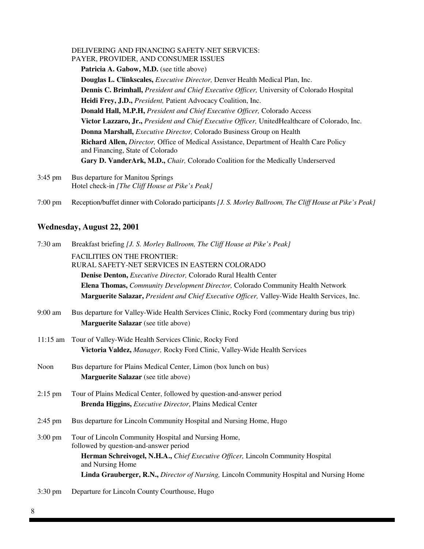#### DELIVERING AND FINANCING SAFETY-NET SERVICES: PAYER, PROVIDER, AND CONSUMER ISSUES

Patricia A. Gabow, M.D. (see title above) **Douglas L. Clinkscales,** *Executive Director,* Denver Health Medical Plan, Inc. **Dennis C. Brimhall,** *President and Chief Executive Officer,* University of Colorado Hospital **Heidi Frey, J.D.,** *President,* Patient Advocacy Coalition, Inc. **Donald Hall, M.P.H,** *President and Chief Executive Officer,* Colorado Access **Victor Lazzaro, Jr.,** *President and Chief Executive Officer,* UnitedHealthcare of Colorado, Inc. **Donna Marshall,** *Executive Director,* Colorado Business Group on Health **Richard Allen,** *Director,* Office of Medical Assistance, Department of Health Care Policy and Financing, State of Colorado **Gary D. VanderArk, M.D.,** *Chair,* Colorado Coalition for the Medically Underserved

- 3:45 pm Bus departure for Manitou Springs Hotel check-in *[The Cliff House at Pike's Peak]*
- 7:00 pm Reception/buffet dinner with Colorado participants *[J. S. Morley Ballroom, The Cliff House at Pike's Peak]*

#### **Wednesday, August 22, 2001**

| $7:30$ am         | Breakfast briefing [J. S. Morley Ballroom, The Cliff House at Pike's Peak]                                                                  |  |  |  |  |  |
|-------------------|---------------------------------------------------------------------------------------------------------------------------------------------|--|--|--|--|--|
|                   | <b>FACILITIES ON THE FRONTIER:</b><br>RURAL SAFETY-NET SERVICES IN EASTERN COLORADO                                                         |  |  |  |  |  |
|                   | Denise Denton, Executive Director, Colorado Rural Health Center                                                                             |  |  |  |  |  |
|                   | Elena Thomas, Community Development Director, Colorado Community Health Network                                                             |  |  |  |  |  |
|                   | Marguerite Salazar, President and Chief Executive Officer, Valley-Wide Health Services, Inc.                                                |  |  |  |  |  |
| $9:00$ am         | Bus departure for Valley-Wide Health Services Clinic, Rocky Ford (commentary during bus trip)<br>Marguerite Salazar (see title above)       |  |  |  |  |  |
|                   | 11:15 am Tour of Valley-Wide Health Services Clinic, Rocky Ford<br>Victoria Valdez, Manager, Rocky Ford Clinic, Valley-Wide Health Services |  |  |  |  |  |
| Noon              | Bus departure for Plains Medical Center, Limon (box lunch on bus)<br>Marguerite Salazar (see title above)                                   |  |  |  |  |  |
| $2:15$ pm         | Tour of Plains Medical Center, followed by question-and-answer period<br>Brenda Higgins, Executive Director, Plains Medical Center          |  |  |  |  |  |
| $2:45$ pm         | Bus departure for Lincoln Community Hospital and Nursing Home, Hugo                                                                         |  |  |  |  |  |
| $3:00 \text{ pm}$ | Tour of Lincoln Community Hospital and Nursing Home,<br>followed by question-and-answer period                                              |  |  |  |  |  |
|                   | Herman Schreivogel, N.H.A., Chief Executive Officer, Lincoln Community Hospital<br>and Nursing Home                                         |  |  |  |  |  |
|                   | Linda Grauberger, R.N., Director of Nursing, Lincoln Community Hospital and Nursing Home                                                    |  |  |  |  |  |
|                   | 2.20 nm Doporture for Lincoln County Courthouse Hygo                                                                                        |  |  |  |  |  |

3:30 pm Departure for Lincoln County Courthouse, Hugo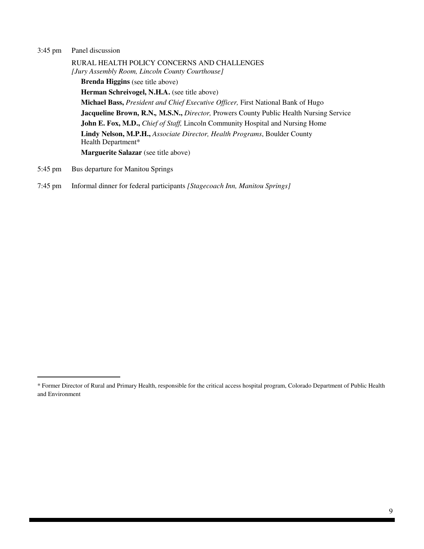#### 3:45 pm Panel discussion

RURAL HEALTH POLICY CONCERNS AND CHALLENGES *[Jury Assembly Room, Lincoln County Courthouse]* **Brenda Higgins** (see title above) **Herman Schreivogel, N.H.A.** (see title above) **Michael Bass,** *President and Chief Executive Officer,* First National Bank of Hugo **Jacqueline Brown, R.N.***,* **M.S.N.,** *Director,* Prowers County Public Health Nursing Service **John E. Fox, M.D.,** *Chief of Staff,* Lincoln Community Hospital and Nursing Home **Lindy Nelson, M.P.H.,** *Associate Director, Health Programs*, Boulder County Health Department\* **Marguerite Salazar** (see title above)

- 5:45 pm Bus departure for Manitou Springs
- 7:45 pm Informal dinner for federal participants *[Stagecoach Inn, Manitou Springs]*

<sup>\*</sup> Former Director of Rural and Primary Health, responsible for the critical access hospital program, Colorado Department of Public Health and Environment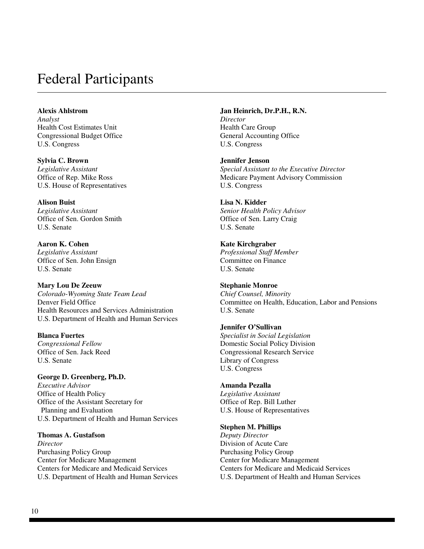## Federal Participants

**Alexis Ahlstrom** *Analyst* Health Cost Estimates Unit Congressional Budget Office U.S. Congress

**Sylvia C. Brown** *Legislative Assistant* Office of Rep. Mike Ross U.S. House of Representatives

**Alison Buist** *Legislative Assistant* Office of Sen. Gordon Smith U.S. Senate

**Aaron K. Cohen** *Legislative Assistant* Office of Sen. John Ensign U.S. Senate

**Mary Lou De Zeeuw** *Colorado-Wyoming State Team Lead* Denver Field Office Health Resources and Services Administration U.S. Department of Health and Human Services

**Blanca Fuertes** *Congressional Fellow* Office of Sen. Jack Reed U.S. Senate

**George D. Greenberg, Ph.D.** *Executive Advisor* Office of Health Policy Office of the Assistant Secretary for Planning and Evaluation U.S. Department of Health and Human Services

**Thomas A. Gustafson**

*Director* Purchasing Policy Group Center for Medicare Management Centers for Medicare and Medicaid Services U.S. Department of Health and Human Services

**Jan Heinrich, Dr.P.H., R.N.** *Director* Health Care Group General Accounting Office U.S. Congress

**Jennifer Jenson** *Special Assistant to the Executive Director* Medicare Payment Advisory Commission U.S. Congress

**Lisa N. Kidder** *Senior Health Policy Advisor* Office of Sen. Larry Craig U.S. Senate

**Kate Kirchgraber** *Professional Staff Member* Committee on Finance U.S. Senate

**Stephanie Monroe** *Chief Counsel, Minority* Committee on Health, Education, Labor and Pensions U.S. Senate

**Jennifer O'Sullivan** *Specialist in Social Legislation* Domestic Social Policy Division Congressional Research Service Library of Congress

U.S. Congress **Amanda Pezalla** *Legislative Assistant*

Office of Rep. Bill Luther U.S. House of Representatives

**Stephen M. Phillips**

*Deputy Director* Division of Acute Care Purchasing Policy Group Center for Medicare Management Centers for Medicare and Medicaid Services U.S. Department of Health and Human Services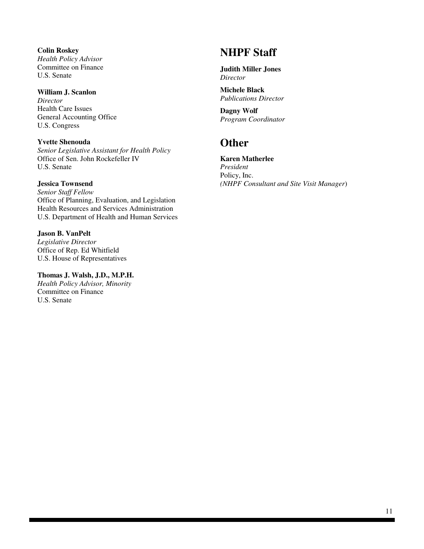**Colin Roskey** *Health Policy Advisor* Committee on Finance U.S. Senate

#### **William J. Scanlon**

*Director* Health Care Issues General Accounting Office U.S. Congress

**Yvette Shenouda** *Senior Legislative Assistant for Health Policy* Office of Sen. John Rockefeller IV U.S. Senate

#### **Jessica Townsend**

*Senior Staff Fellow* Office of Planning, Evaluation, and Legislation Health Resources and Services Administration U.S. Department of Health and Human Services

**Jason B. VanPelt** *Legislative Director* Office of Rep. Ed Whitfield U.S. House of Representatives

#### **Thomas J. Walsh, J.D., M.P.H.**

*Health Policy Advisor, Minority* Committee on Finance U.S. Senate

## **NHPF Staff**

**Judith Miller Jones** *Director*

**Michele Black** *Publications Director*

**Dagny Wolf** *Program Coordinator*

### **Other**

**Karen Matherlee** *President* Policy, Inc. *(NHPF Consultant and Site Visit Manager*)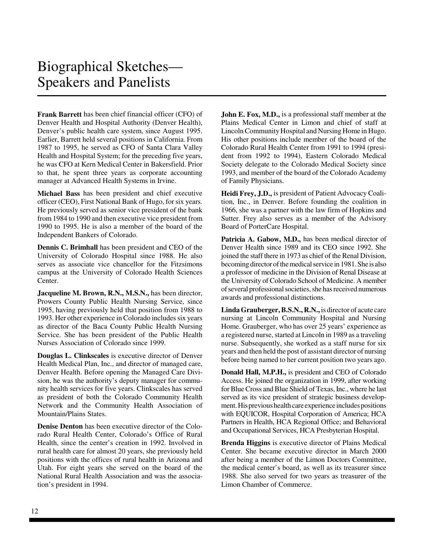## Biographical Sketches— Speakers and Panelists

**Frank Barrett** has been chief financial officer (CFO) of Denver Health and Hospital Authority (Denver Health), Denver's public health care system, since August 1995. Earlier, Barrett held several positions in California. From 1987 to 1995, he served as CFO of Santa Clara Valley Health and Hospital System; for the preceding five years, he was CFO at Kern Medical Center in Bakersfield. Prior to that, he spent three years as corporate accounting manager at Advanced Health Systems in Irvine.

**Michael Bass** has been president and chief executive officer (CEO), First National Bank of Hugo, for six years. He previously served as senior vice president of the bank from 1984 to 1990 and then executive vice president from 1990 to 1995. He is also a member of the board of the Independent Bankers of Colorado.

**Dennis C. Brimhall** has been president and CEO of the University of Colorado Hospital since 1988. He also serves as associate vice chancellor for the Fitzsimons campus at the University of Colorado Health Sciences Center.

**Jacqueline M. Brown, R.N., M.S.N.,** has been director, Prowers County Public Health Nursing Service, since 1995, having previously held that position from 1988 to 1993. Her other experience in Colorado includes six years as director of the Baca County Public Health Nursing Service. She has been president of the Public Health Nurses Association of Colorado since 1999.

**Douglas L. Clinkscales** is executive director of Denver Health Medical Plan, Inc., and director of managed care, Denver Health. Before opening the Managed Care Division, he was the authority's deputy manager for community health services for five years. Clinkscales has served as president of both the Colorado Community Health Network and the Community Health Association of Mountain/Plains States.

**Denise Denton** has been executive director of the Colorado Rural Health Center, Colorado's Office of Rural Health, since the center's creation in 1992. Involved in rural health care for almost 20 years, she previously held positions with the offices of rural health in Arizona and Utah. For eight years she served on the board of the National Rural Health Association and was the association's president in 1994.

**John E. Fox, M.D.,** is a professional staff member at the Plains Medical Center in Limon and chief of staff at Lincoln Community Hospital and Nursing Home in Hugo. His other positions include member of the board of the Colorado Rural Health Center from 1991 to 1994 (president from 1992 to 1994), Eastern Colorado Medical Society delegate to the Colorado Medical Society since 1993, and member of the board of the Colorado Academy of Family Physicians.

**Heidi Frey, J.D.,** is president of Patient Advocacy Coalition, Inc., in Denver. Before founding the coalition in 1966, she was a partner with the law firm of Hopkins and Sutter. Frey also serves as a member of the Advisory Board of PorterCare Hospital.

**Patricia A. Gabow, M.D.,** has been medical director of Denver Health since 1989 and its CEO since 1992. She joined the staff there in 1973 as chief of the Renal Division, becoming director of the medical service in 1981. She is also a professor of medicine in the Division of Renal Disease at the University of Colorado School of Medicine. A member of several professional societies, she has received numerous awards and professional distinctions.

**Linda Grauberger, B.S.N., R.N.,** is director of acute care nursing at Lincoln Community Hospital and Nursing Home. Grauberger, who has over 25 years' experience as a registered nurse, started at Lincoln in 1989 as a traveling nurse. Subsequently, she worked as a staff nurse for six years and then held the post of assistant director of nursing before being named to her current position two years ago.

**Donald Hall, M.P.H.,** is president and CEO of Colorado Access. He joined the organization in 1999, after working for Blue Cross and Blue Shield of Texas, Inc., where he last served as its vice president of strategic business development. His previous health care experience includes positions with EQUICOR, Hospital Corporation of America; HCA Partners in Health, HCA Regional Office; and Behavioral and Occupational Services, HCA Presbyterian Hospital.

**Brenda Higgins** is executive director of Plains Medical Center. She became executive director in March 2000 after being a member of the Limon Doctors Committee, the medical center's board, as well as its treasurer since 1988. She also served for two years as treasurer of the Limon Chamber of Commerce.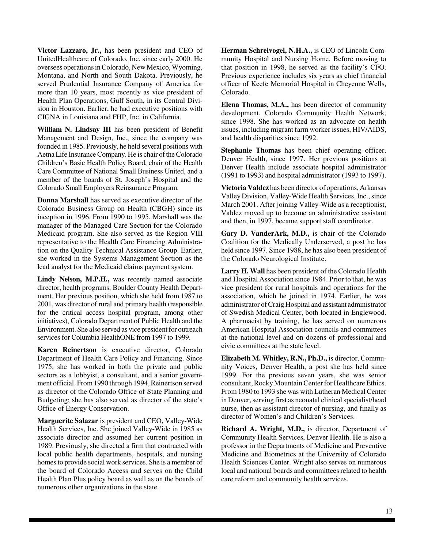**Victor Lazzaro, Jr.,** has been president and CEO of UnitedHealthcare of Colorado, Inc. since early 2000. He oversees operations in Colorado, New Mexico, Wyoming, Montana, and North and South Dakota. Previously, he served Prudential Insurance Company of America for more than 10 years, most recently as vice president of Health Plan Operations, Gulf South, in its Central Division in Houston. Earlier, he had executive positions with CIGNA in Louisiana and FHP, Inc. in California.

**William N. Lindsay III** has been president of Benefit Management and Design, Inc., since the company was founded in 1985. Previously, he held several positions with Aetna Life Insurance Company. He is chair of the Colorado Children's Basic Health Policy Board, chair of the Health Care Committee of National Small Business United, and a member of the boards of St. Joseph's Hospital and the Colorado Small Employers Reinsurance Program.

**Donna Marshall** has served as executive director of the Colorado Business Group on Health (CBGH) since its inception in 1996. From 1990 to 1995, Marshall was the manager of the Managed Care Section for the Colorado Medicaid program. She also served as the Region VIII representative to the Health Care Financing Administration on the Quality Technical Assistance Group. Earlier, she worked in the Systems Management Section as the lead analyst for the Medicaid claims payment system.

Lindy Nelson, M.P.H., was recently named associate director, health programs, Boulder County Health Department. Her previous position, which she held from 1987 to 2001, was director of rural and primary health (responsible for the critical access hospital program, among other initiatives), Colorado Department of Public Health and the Environment. She also served as vice president for outreach services for Columbia HealthONE from 1997 to 1999.

**Karen Reinertson** is executive director, Colorado Department of Health Care Policy and Financing. Since 1975, she has worked in both the private and public sectors as a lobbyist, a consultant, and a senior government official. From 1990 through 1994, Reinertson served as director of the Colorado Office of State Planning and Budgeting; she has also served as director of the state's Office of Energy Conservation.

**Marguerite Salazar** is president and CEO, Valley-Wide Health Services, Inc. She joined Valley-Wide in 1985 as associate director and assumed her current position in 1989. Previously, she directed a firm that contracted with local public health departments, hospitals, and nursing homes to provide social work services. She is a member of the board of Colorado Access and serves on the Child Health Plan Plus policy board as well as on the boards of numerous other organizations in the state.

**Herman Schreivogel, N.H.A.,** is CEO of Lincoln Community Hospital and Nursing Home. Before moving to that position in 1998, he served as the facility's CFO. Previous experience includes six years as chief financial officer of Keefe Memorial Hospital in Cheyenne Wells, Colorado.

**Elena Thomas, M.A.,** has been director of community development, Colorado Community Health Network, since 1998. She has worked as an advocate on health issues, including migrant farm worker issues, HIV/AIDS, and health disparities since 1992.

**Stephanie Thomas** has been chief operating officer, Denver Health, since 1997. Her previous positions at Denver Health include associate hospital administrator (1991 to 1993) and hospital administrator (1993 to 1997).

**Victoria Valdez** has been director of operations, Arkansas Valley Division, Valley-Wide Health Services, Inc., since March 2001. After joining Valley-Wide as a receptionist, Valdez moved up to become an administrative assistant and then, in 1997, became support staff coordinator.

**Gary D. VanderArk, M.D.,** is chair of the Colorado Coalition for the Medically Underserved, a post he has held since 1997. Since 1988, he has also been president of the Colorado Neurological Institute.

**Larry H. Wall** has been president of the Colorado Health and Hospital Association since 1984. Prior to that, he was vice president for rural hospitals and operations for the association, which he joined in 1974. Earlier, he was administrator of Craig Hospital and assistant administrator of Swedish Medical Center, both located in Englewood. A pharmacist by training, he has served on numerous American Hospital Association councils and committees at the national level and on dozens of professional and civic committees at the state level.

**Elizabeth M. Whitley, R.N., Ph.D.,** is director, Community Voices, Denver Health, a post she has held since 1999. For the previous seven years, she was senior consultant, Rocky Mountain Center for Healthcare Ethics. From 1980 to 1993 she was with Lutheran Medical Center in Denver, serving first as neonatal clinical specialist/head nurse, then as assistant director of nursing, and finally as director of Women's and Children's Services.

**Richard A. Wright, M.D.,** is director, Department of Community Health Services, Denver Health. He is also a professor in the Departments of Medicine and Preventive Medicine and Biometrics at the University of Colorado Health Sciences Center. Wright also serves on numerous local and national boards and committees related to health care reform and community health services.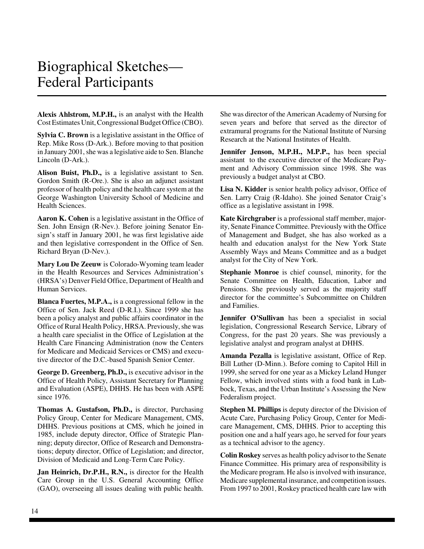## Biographical Sketches— Federal Participants

**Alexis Ahlstrom, M.P.H.,** is an analyst with the Health Cost Estimates Unit, Congressional Budget Office (CBO).

**Sylvia C. Brown** is a legislative assistant in the Office of Rep. Mike Ross (D-Ark.). Before moving to that position in January 2001, she was a legislative aide to Sen. Blanche Lincoln (D-Ark.).

**Alison Buist, Ph.D.,** is a legislative assistant to Sen. Gordon Smith (R-Ore.). She is also an adjunct assistant professor of health policy and the health care system at the George Washington University School of Medicine and Health Sciences.

**Aaron K. Cohen** is a legislative assistant in the Office of Sen. John Ensign (R-Nev.). Before joining Senator Ensign's staff in January 2001, he was first legislative aide and then legislative correspondent in the Office of Sen. Richard Bryan (D-Nev.).

**Mary Lou De Zeeuw** is Colorado-Wyoming team leader in the Health Resources and Services Administration's (HRSA's) Denver Field Office, Department of Health and Human Services.

**Blanca Fuertes, M.P.A.,** is a congressional fellow in the Office of Sen. Jack Reed (D-R.I.). Since 1999 she has been a policy analyst and public affairs coordinator in the Office of Rural Health Policy, HRSA. Previously, she was a health care specialist in the Office of Legislation at the Health Care Financing Administration (now the Centers for Medicare and Medicaid Services or CMS) and executive director of the D.C.-based Spanish Senior Center.

**George D. Greenberg, Ph.D.,** is executive advisor in the Office of Health Policy, Assistant Secretary for Planning and Evaluation (ASPE), DHHS. He has been with ASPE since 1976.

**Thomas A. Gustafson, Ph.D.,** is director, Purchasing Policy Group, Center for Medicare Management, CMS, DHHS. Previous positions at CMS, which he joined in 1985, include deputy director, Office of Strategic Planning; deputy director, Office of Research and Demonstrations; deputy director, Office of Legislation; and director, Division of Medicaid and Long-Term Care Policy.

**Jan Heinrich, Dr.P.H., R.N.,** is director for the Health Care Group in the U.S. General Accounting Office (GAO), overseeing all issues dealing with public health.

She was director of the American Academy of Nursing for seven years and before that served as the director of extramural programs for the National Institute of Nursing Research at the National Institutes of Health.

**Jennifer Jenson, M.P.H., M.P.P.,** has been special assistant to the executive director of the Medicare Payment and Advisory Commission since 1998. She was previously a budget analyst at CBO.

**Lisa N. Kidder** is senior health policy advisor, Office of Sen. Larry Craig (R-Idaho). She joined Senator Craig's office as a legislative assistant in 1998.

**Kate Kirchgraber** is a professional staff member, majority, Senate Finance Committee. Previously with the Office of Management and Budget, she has also worked as a health and education analyst for the New York State Assembly Ways and Means Committee and as a budget analyst for the City of New York.

**Stephanie Monroe** is chief counsel, minority, for the Senate Committee on Health, Education, Labor and Pensions. She previously served as the majority staff director for the committee's Subcommittee on Children and Families.

**Jennifer O'Sullivan** has been a specialist in social legislation, Congressional Research Service, Library of Congress, for the past 20 years. She was previously a legislative analyst and program analyst at DHHS.

**Amanda Pezalla** is legislative assistant, Office of Rep. Bill Luther (D-Minn.). Before coming to Capitol Hill in 1999, she served for one year as a Mickey Leland Hunger Fellow, which involved stints with a food bank in Lubbock, Texas, and the Urban Institute's Assessing the New Federalism project.

**Stephen M. Phillips** is deputy director of the Division of Acute Care, Purchasing Policy Group, Center for Medicare Management, CMS, DHHS. Prior to accepting this position one and a half years ago, he served for four years as a technical advisor to the agency.

**Colin Roskey** serves as health policy advisor to the Senate Finance Committee. His primary area of responsibility is the Medicare program. He also is involved with insurance, Medicare supplemental insurance, and competition issues. From 1997 to 2001, Roskey practiced health care law with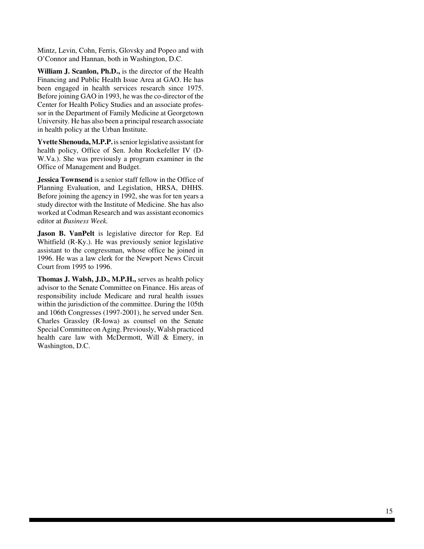Mintz, Levin, Cohn, Ferris, Glovsky and Popeo and with O'Connor and Hannan, both in Washington, D.C.

**William J. Scanlon, Ph.D.,** is the director of the Health Financing and Public Health Issue Area at GAO. He has been engaged in health services research since 1975. Before joining GAO in 1993, he was the co-director of the Center for Health Policy Studies and an associate professor in the Department of Family Medicine at Georgetown University. He has also been a principal research associate in health policy at the Urban Institute.

**Yvette Shenouda, M.P.P.** is senior legislative assistant for health policy, Office of Sen. John Rockefeller IV (D-W.Va.). She was previously a program examiner in the Office of Management and Budget.

**Jessica Townsend** is a senior staff fellow in the Office of Planning Evaluation, and Legislation, HRSA, DHHS. Before joining the agency in 1992, she was for ten years a study director with the Institute of Medicine. She has also worked at Codman Research and was assistant economics editor at *Business Week.*

**Jason B. VanPelt** is legislative director for Rep. Ed Whitfield (R-Ky.). He was previously senior legislative assistant to the congressman, whose office he joined in 1996. He was a law clerk for the Newport News Circuit Court from 1995 to 1996.

**Thomas J. Walsh, J.D., M.P.H.,** serves as health policy advisor to the Senate Committee on Finance. His areas of responsibility include Medicare and rural health issues within the jurisdiction of the committee. During the 105th and 106th Congresses (1997-2001), he served under Sen. Charles Grassley (R-Iowa) as counsel on the Senate Special Committee on Aging. Previously, Walsh practiced health care law with McDermott, Will & Emery, in Washington, D.C.